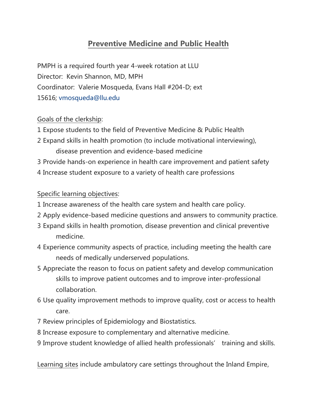# **Preventive Medicine and Public Health**

PMPH is a required fourth year 4-week rotation at LLU Director: Kevin Shannon, MD, MPH Coordinator: Valerie Mosqueda, Evans Hall #204-D; ext 15616; [vmosqueda@llu.edu](mailto:vmosqueda@llu.edu)

### Goals of the clerkship:

- 1 Expose students to the field of Preventive Medicine & Public Health
- 2 Expand skills in health promotion (to include motivational interviewing), disease prevention and evidence-based medicine
- 3 Provide hands-on experience in health care improvement and patient safety
- 4 Increase student exposure to a variety of health care professions

#### Specific learning objectives:

- 1 Increase awareness of the health care system and health care policy.
- 2 Apply evidence-based medicine questions and answers to community practice.
- 3 Expand skills in health promotion, disease prevention and clinical preventive medicine.
- 4 Experience community aspects of practice, including meeting the health care needs of medically underserved populations.
- 5 Appreciate the reason to focus on patient safety and develop communication skills to improve patient outcomes and to improve inter-professional collaboration.
- 6 Use quality improvement methods to improve quality, cost or access to health care.
- 7 Review principles of Epidemiology and Biostatistics.
- 8 Increase exposure to complementary and alternative medicine.
- 9 Improve student knowledge of allied health professionals' training and skills.

Learning sites include ambulatory care settings throughout the Inland Empire,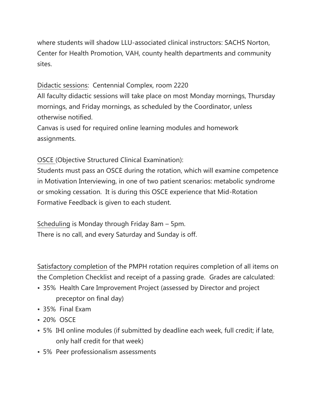where students will shadow LLU-associated clinical instructors: SACHS Norton, Center for Health Promotion, VAH, county health departments and community sites.

## Didactic sessions: Centennial Complex, room 2220

All faculty didactic sessions will take place on most Monday mornings, Thursday mornings, and Friday mornings, as scheduled by the Coordinator, unless otherwise notified.

Canvas is used for required online learning modules and homework assignments.

## OSCE (Objective Structured Clinical Examination):

Students must pass an OSCE during the rotation, which will examine competence in Motivation Interviewing, in one of two patient scenarios: metabolic syndrome or smoking cessation. It is during this OSCE experience that Mid-Rotation Formative Feedback is given to each student.

Scheduling is Monday through Friday 8am – 5pm. There is no call, and every Saturday and Sunday is off.

Satisfactory completion of the PMPH rotation requires completion of all items on the Completion Checklist and receipt of a passing grade. Grades are calculated:

- 35% Health Care Improvement Project (assessed by Director and project preceptor on final day)
- 35% Final Exam
- 20% OSCE
- 5% IHI online modules (if submitted by deadline each week, full credit; if late, only half credit for that week)
- 5% Peer professionalism assessments